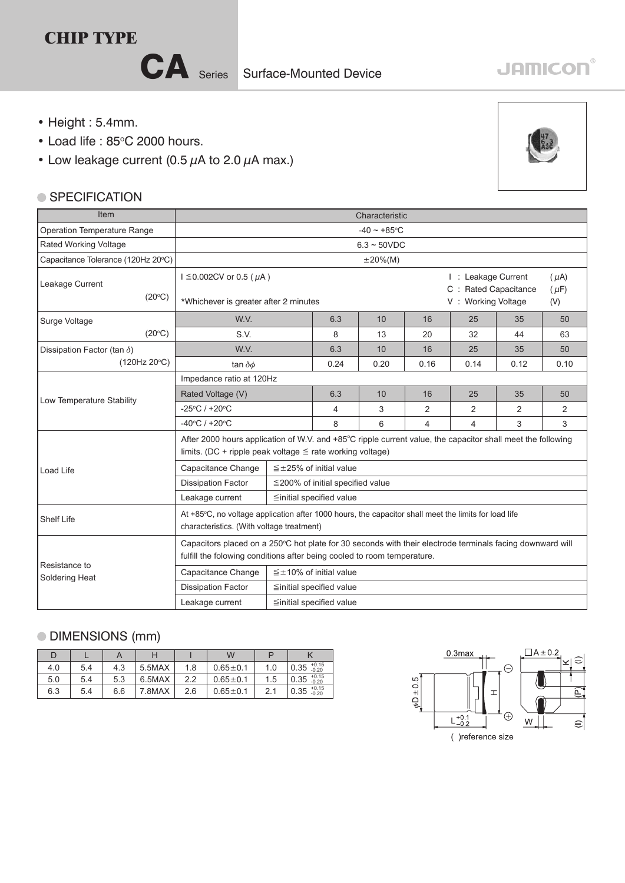## **CHIP TYPE**

CA Series Surface-Mounted Device

## **JAMICON**

- Height : 5.4mm.
- $\bullet$  Load life : 85 $\degree$ C 2000 hours.
- Low leakage current (0.5  $\mu$ A to 2.0  $\mu$ A max.)

## **SPECIFICATION**



## DIMENSIONS (mm)

| D   |     |     |        |     | W              |     |                                   |
|-----|-----|-----|--------|-----|----------------|-----|-----------------------------------|
| 4.0 | 5.4 | 4.3 | 5.5MAX | 1.8 | $0.65 \pm 0.1$ | 1.0 | $\overline{0.35}^{+0.15}_{-0.20}$ |
| 5.0 | 5.4 | 5.3 | 6.5MAX | 2.2 | $0.65 \pm 0.1$ | 1.5 | $ 0.35 \atop -0.20} $             |
| 6.3 | 5.4 | 6.6 | 7.8MAX | 2.6 | $0.65 \pm 0.1$ |     | $0.35^{+0.15}_{-0.20}$            |